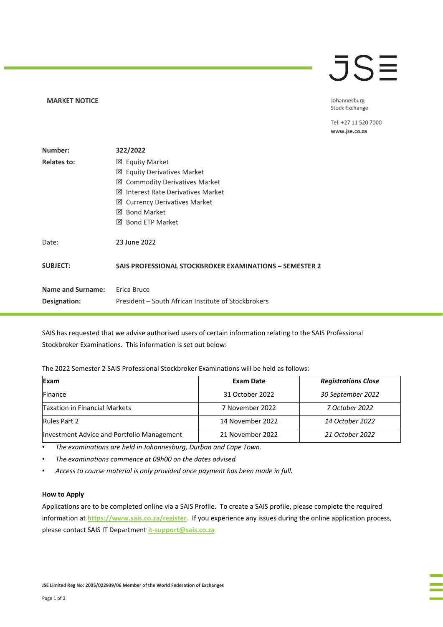### **MARKET NOTICE**

## JSE

Johannesburg **Stock Exchange** 

Tel: +27 11 520 7000 www.jse.co.za

| Number:                  | 322/2022                                                       |  |
|--------------------------|----------------------------------------------------------------|--|
| <b>Relates to:</b>       | <b>⊠</b> Equity Market                                         |  |
|                          | <b>Equity Derivatives Market</b><br>⊠                          |  |
|                          | <b>Commodity Derivatives Market</b><br>⊠                       |  |
|                          | Interest Rate Derivatives Market<br>Ι×Ι                        |  |
|                          | <b>Currency Derivatives Market</b><br>⊠                        |  |
|                          | <b>Bond Market</b><br>$\mathsf{X}$                             |  |
|                          | <b>Bond ETP Market</b><br>IХ                                   |  |
| Date:                    | 23 June 2022                                                   |  |
| <b>SUBJECT:</b>          | <b>SAIS PROFESSIONAL STOCKBROKER EXAMINATIONS - SEMESTER 2</b> |  |
|                          |                                                                |  |
| <b>Name and Surname:</b> | Erica Bruce                                                    |  |
| Designation:             | President – South African Institute of Stockbrokers            |  |

SAIS has requested that we advise authorised users of certain information relating to the SAIS Professional Stockbroker Examinations. This information is set out below:

The 2022 Semester 2 SAIS Professional Stockbroker Examinations will be held as follows:

| Exam                                       | <b>Exam Date</b> | <b>Registrations Close</b> |
|--------------------------------------------|------------------|----------------------------|
| Finance                                    | 31 October 2022  | 30 September 2022          |
| Taxation in Financial Markets              | 7 November 2022  | 7 October 2022             |
| <b>Rules Part 2</b>                        | 14 November 2022 | 14 October 2022            |
| Investment Advice and Portfolio Management | 21 November 2022 | 21 October 2022            |

• *The examinations are held in Johannesburg, Durban and Cape Town.* 

• *The examinations commence at 09h00 on the dates advised.* 

• *Access to course material is only provided once payment has been made in full.* 

### **How to Apply**

Applications are to be completed online via a SAIS Profile. To create a SAIS profile, please complete the required information at **[https://www.sais.co.za/register.](https://www.sais.co.za/register)** If you experience any issues during the online application process, please contact SAIS IT Department **[it-support@sais.co.za](mailto:it-support@sais.co.za)**